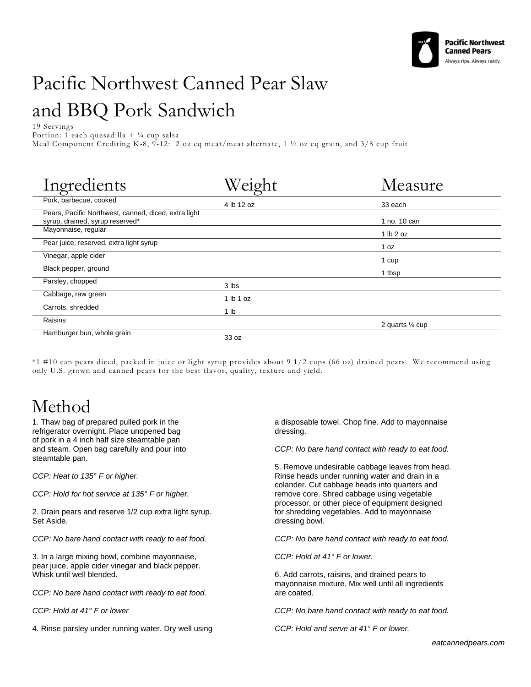

## Pacific Northwest Canned Pear Slaw and BBQ Pork Sandwich

19 Servings

Portion: 1 each quesadilla +  $\frac{1}{4}$  cup salsa

Meal Component Crediting K-8, 9-12: 2 oz eq meat/meat alternate, 1 ½ oz eq grain, and 3/8 cup fruit

| Ingredients                                                                             | Weight     | Measure          |
|-----------------------------------------------------------------------------------------|------------|------------------|
| Pork, barbecue, cooked                                                                  | 4 lb 12 oz | 33 each          |
| Pears, Pacific Northwest, canned, diced, extra light<br>syrup, drained, syrup reserved* |            | 1 no. 10 can     |
| Mayonnaise, regular                                                                     |            | 1 lb 2 oz        |
| Pear juice, reserved, extra light syrup                                                 |            | 1 oz             |
| Vinegar, apple cider                                                                    |            | 1 cup            |
| Black pepper, ground                                                                    |            | 1 tbsp           |
| Parsley, chopped                                                                        | 3 lbs      |                  |
| Cabbage, raw green                                                                      | 1 lb 1 oz  |                  |
| Carrots, shredded                                                                       | 1 lb       |                  |
| Raisins                                                                                 |            | 2 quarts 1/4 cup |
| Hamburger bun, whole grain                                                              | 33 oz      |                  |

\*1 #10 can pears diced, packed in juice or light syrup provides about 9 1/2 cups (66 oz) drained pears. We recommend using only U.S. grown and canned pears for the best flavor, quality, texture and yield.

## Method

1. Thaw bag of prepared pulled pork in the refrigerator overnight. Place unopened bag of pork in a 4 inch half size steamtable pan and steam. Open bag carefully and pour into steamtable pan.

*CCP: Heat to 135° F or higher.*

*CCP: Hold for hot service at 135° F or higher.*

2. Drain pears and reserve 1/2 cup extra light syrup. Set Aside.

*CCP: No bare hand contact with ready to eat food.*

3. In a large mixing bowl, combine mayonnaise, pear juice, apple cider vinegar and black pepper. Whisk until well blended.

*CCP: No bare hand contact with ready to eat food.*

*CCP: Hold at 41° F or lower*

4. Rinse parsley under running water. Dry well using

a disposable towel. Chop fine. Add to mayonnaise dressing.

*CCP: No bare hand contact with ready to eat food.*

5. Remove undesirable cabbage leaves from head. Rinse heads under running water and drain in a colander. Cut cabbage heads into quarters and remove core. Shred cabbage using vegetable processor, or other piece of equipment designed for shredding vegetables. Add to mayonnaise dressing bowl.

*CCP: No bare hand contact with ready to eat food.*

*CCP: Hold at 41° F or lower.*

6. Add carrots, raisins, and drained pears to mayonnaise mixture. Mix well until all ingredients are coated.

*CCP: No bare hand contact with ready to eat food.*

*CCP: Hold and serve at 41° F or lower.*